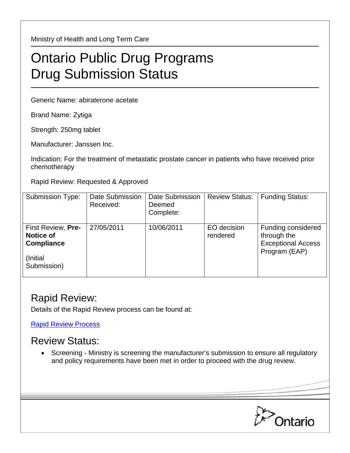Ministry of Health and Long Term Care

## Ontario Public Drug Programs Drug Submission Status

Generic Name: abiraterone acetate

Brand Name: Zytiga

Strength: 250mg tablet

Manufacturer: Janssen Inc.

Indication: For the treatment of metastatic prostate cancer in patients who have received prior chemotherapy

Rapid Review: Requested & Approved

| <b>Submission Type:</b>                                                                 | Date Submission<br>Received: | Date Submission<br>Deemed<br>Complete: | <b>Review Status:</b>   | <b>Funding Status:</b>                                                          |
|-----------------------------------------------------------------------------------------|------------------------------|----------------------------------------|-------------------------|---------------------------------------------------------------------------------|
| First Review, Pre-<br><b>Notice of</b><br><b>Compliance</b><br>(Initial)<br>Submission) | 27/05/2011                   | 10/06/2011                             | EO decision<br>rendered | Funding considered<br>through the<br><b>Exceptional Access</b><br>Program (EAP) |

## Rapid Review:

Details of the Rapid Review process can be found at:

[Rapid Review Process](http://www.health.gov.on.ca/en/pro/programs/drugs/drug_submissions/rapid_review_process.aspx)

## Review Status:

• Screening - Ministry is screening the manufacturer's submission to ensure all regulatory and policy requirements have been met in order to proceed with the drug review.